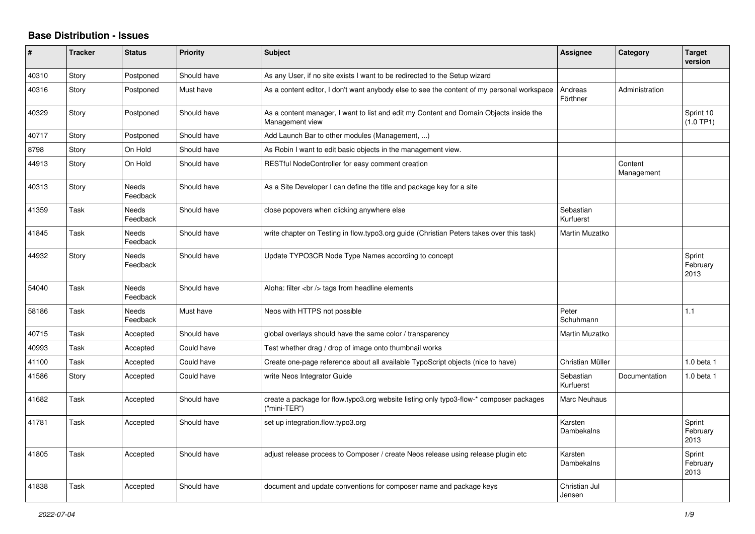## **Base Distribution - Issues**

| #     | <b>Tracker</b> | <b>Status</b>            | <b>Priority</b> | <b>Subject</b>                                                                                            | <b>Assignee</b>         | Category              | <b>Target</b><br>version   |
|-------|----------------|--------------------------|-----------------|-----------------------------------------------------------------------------------------------------------|-------------------------|-----------------------|----------------------------|
| 40310 | Story          | Postponed                | Should have     | As any User, if no site exists I want to be redirected to the Setup wizard                                |                         |                       |                            |
| 40316 | Story          | Postponed                | Must have       | As a content editor, I don't want anybody else to see the content of my personal workspace                | Andreas<br>Förthner     | Administration        |                            |
| 40329 | Story          | Postponed                | Should have     | As a content manager, I want to list and edit my Content and Domain Objects inside the<br>Management view |                         |                       | Sprint 10<br>(1.0 TP1)     |
| 40717 | Story          | Postponed                | Should have     | Add Launch Bar to other modules (Management, )                                                            |                         |                       |                            |
| 8798  | Story          | On Hold                  | Should have     | As Robin I want to edit basic objects in the management view.                                             |                         |                       |                            |
| 44913 | Story          | On Hold                  | Should have     | RESTful NodeController for easy comment creation                                                          |                         | Content<br>Management |                            |
| 40313 | Story          | Needs<br>Feedback        | Should have     | As a Site Developer I can define the title and package key for a site                                     |                         |                       |                            |
| 41359 | Task           | Needs<br>Feedback        | Should have     | close popovers when clicking anywhere else                                                                | Sebastian<br>Kurfuerst  |                       |                            |
| 41845 | Task           | Needs<br>Feedback        | Should have     | write chapter on Testing in flow.typo3.org guide (Christian Peters takes over this task)                  | Martin Muzatko          |                       |                            |
| 44932 | Story          | <b>Needs</b><br>Feedback | Should have     | Update TYPO3CR Node Type Names according to concept                                                       |                         |                       | Sprint<br>February<br>2013 |
| 54040 | Task           | <b>Needs</b><br>Feedback | Should have     | Aloha: filter<br>tags from headline elements                                                              |                         |                       |                            |
| 58186 | Task           | Needs<br>Feedback        | Must have       | Neos with HTTPS not possible                                                                              | Peter<br>Schuhmann      |                       | 1.1                        |
| 40715 | Task           | Accepted                 | Should have     | global overlays should have the same color / transparency                                                 | Martin Muzatko          |                       |                            |
| 40993 | Task           | Accepted                 | Could have      | Test whether drag / drop of image onto thumbnail works                                                    |                         |                       |                            |
| 41100 | Task           | Accepted                 | Could have      | Create one-page reference about all available TypoScript objects (nice to have)                           | Christian Müller        |                       | 1.0 beta 1                 |
| 41586 | Story          | Accepted                 | Could have      | write Neos Integrator Guide                                                                               | Sebastian<br>Kurfuerst  | Documentation         | 1.0 beta 1                 |
| 41682 | Task           | Accepted                 | Should have     | create a package for flow.typo3.org website listing only typo3-flow-* composer packages<br>("mini-TER")   | Marc Neuhaus            |                       |                            |
| 41781 | Task           | Accepted                 | Should have     | set up integration.flow.typo3.org                                                                         | Karsten<br>Dambekalns   |                       | Sprint<br>February<br>2013 |
| 41805 | Task           | Accepted                 | Should have     | adjust release process to Composer / create Neos release using release plugin etc                         | Karsten<br>Dambekalns   |                       | Sprint<br>February<br>2013 |
| 41838 | Task           | Accepted                 | Should have     | document and update conventions for composer name and package keys                                        | Christian Jul<br>Jensen |                       |                            |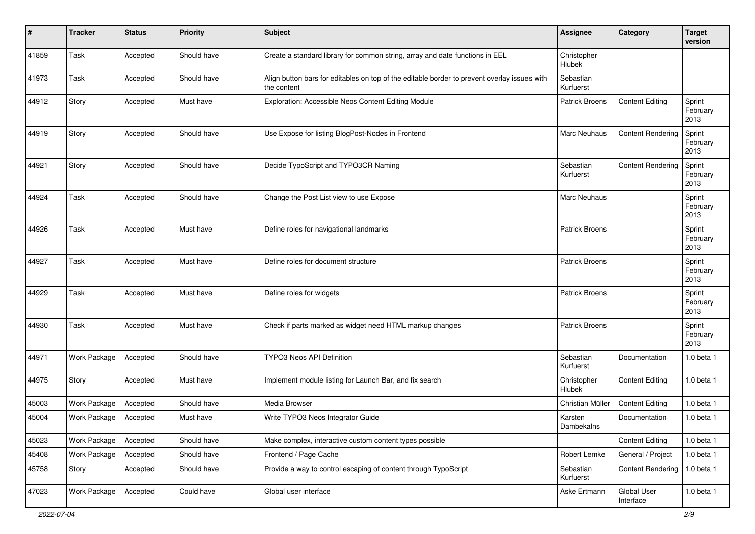| #     | <b>Tracker</b> | <b>Status</b> | <b>Priority</b> | <b>Subject</b>                                                                                              | <b>Assignee</b>        | Category                 | <b>Target</b><br>version   |
|-------|----------------|---------------|-----------------|-------------------------------------------------------------------------------------------------------------|------------------------|--------------------------|----------------------------|
| 41859 | Task           | Accepted      | Should have     | Create a standard library for common string, array and date functions in EEL                                | Christopher<br>Hlubek  |                          |                            |
| 41973 | Task           | Accepted      | Should have     | Align button bars for editables on top of the editable border to prevent overlay issues with<br>the content | Sebastian<br>Kurfuerst |                          |                            |
| 44912 | Story          | Accepted      | Must have       | Exploration: Accessible Neos Content Editing Module                                                         | <b>Patrick Broens</b>  | <b>Content Editing</b>   | Sprint<br>February<br>2013 |
| 44919 | Story          | Accepted      | Should have     | Use Expose for listing BlogPost-Nodes in Frontend                                                           | Marc Neuhaus           | <b>Content Rendering</b> | Sprint<br>February<br>2013 |
| 44921 | Story          | Accepted      | Should have     | Decide TypoScript and TYPO3CR Naming                                                                        | Sebastian<br>Kurfuerst | <b>Content Rendering</b> | Sprint<br>February<br>2013 |
| 44924 | Task           | Accepted      | Should have     | Change the Post List view to use Expose                                                                     | <b>Marc Neuhaus</b>    |                          | Sprint<br>February<br>2013 |
| 44926 | Task           | Accepted      | Must have       | Define roles for navigational landmarks                                                                     | <b>Patrick Broens</b>  |                          | Sprint<br>February<br>2013 |
| 44927 | Task           | Accepted      | Must have       | Define roles for document structure                                                                         | <b>Patrick Broens</b>  |                          | Sprint<br>February<br>2013 |
| 44929 | Task           | Accepted      | Must have       | Define roles for widgets                                                                                    | <b>Patrick Broens</b>  |                          | Sprint<br>February<br>2013 |
| 44930 | Task           | Accepted      | Must have       | Check if parts marked as widget need HTML markup changes                                                    | <b>Patrick Broens</b>  |                          | Sprint<br>February<br>2013 |
| 44971 | Work Package   | Accepted      | Should have     | <b>TYPO3 Neos API Definition</b>                                                                            | Sebastian<br>Kurfuerst | Documentation            | 1.0 beta 1                 |
| 44975 | Story          | Accepted      | Must have       | Implement module listing for Launch Bar, and fix search                                                     | Christopher<br>Hlubek  | <b>Content Editing</b>   | 1.0 beta 1                 |
| 45003 | Work Package   | Accepted      | Should have     | Media Browser                                                                                               | Christian Müller       | <b>Content Editing</b>   | 1.0 beta 1                 |
| 45004 | Work Package   | Accepted      | Must have       | Write TYPO3 Neos Integrator Guide                                                                           | Karsten<br>Dambekalns  | Documentation            | 1.0 beta 1                 |
| 45023 | Work Package   | Accepted      | Should have     | Make complex, interactive custom content types possible                                                     |                        | <b>Content Editing</b>   | 1.0 beta 1                 |
| 45408 | Work Package   | Accepted      | Should have     | Frontend / Page Cache                                                                                       | Robert Lemke           | General / Project        | 1.0 beta 1                 |
| 45758 | Story          | Accepted      | Should have     | Provide a way to control escaping of content through TypoScript                                             | Sebastian<br>Kurfuerst | <b>Content Rendering</b> | 1.0 beta 1                 |
| 47023 | Work Package   | Accepted      | Could have      | Global user interface                                                                                       | Aske Ertmann           | Global User<br>Interface | 1.0 beta 1                 |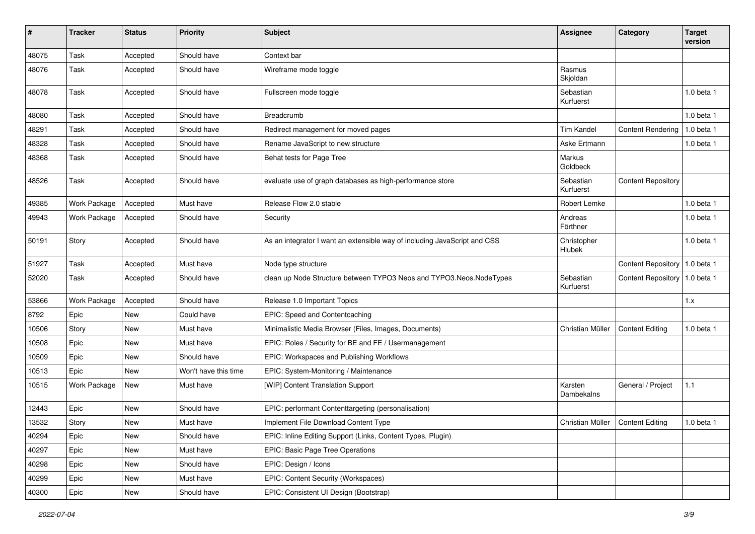| #     | <b>Tracker</b> | <b>Status</b> | <b>Priority</b>      | <b>Subject</b>                                                            | <b>Assignee</b>        | Category                        | <b>Target</b><br>version |
|-------|----------------|---------------|----------------------|---------------------------------------------------------------------------|------------------------|---------------------------------|--------------------------|
| 48075 | Task           | Accepted      | Should have          | Context bar                                                               |                        |                                 |                          |
| 48076 | Task           | Accepted      | Should have          | Wireframe mode toggle                                                     | Rasmus<br>Skjoldan     |                                 |                          |
| 48078 | Task           | Accepted      | Should have          | Fullscreen mode toggle                                                    | Sebastian<br>Kurfuerst |                                 | 1.0 beta 1               |
| 48080 | Task           | Accepted      | Should have          | Breadcrumb                                                                |                        |                                 | 1.0 beta 1               |
| 48291 | Task           | Accepted      | Should have          | Redirect management for moved pages                                       | <b>Tim Kandel</b>      | <b>Content Rendering</b>        | 1.0 beta 1               |
| 48328 | Task           | Accepted      | Should have          | Rename JavaScript to new structure                                        | Aske Ertmann           |                                 | 1.0 beta 1               |
| 48368 | Task           | Accepted      | Should have          | Behat tests for Page Tree                                                 | Markus<br>Goldbeck     |                                 |                          |
| 48526 | Task           | Accepted      | Should have          | evaluate use of graph databases as high-performance store                 | Sebastian<br>Kurfuerst | <b>Content Repository</b>       |                          |
| 49385 | Work Package   | Accepted      | Must have            | Release Flow 2.0 stable                                                   | Robert Lemke           |                                 | 1.0 beta 1               |
| 49943 | Work Package   | Accepted      | Should have          | Security                                                                  | Andreas<br>Förthner    |                                 | 1.0 beta 1               |
| 50191 | Story          | Accepted      | Should have          | As an integrator I want an extensible way of including JavaScript and CSS | Christopher<br>Hlubek  |                                 | 1.0 beta 1               |
| 51927 | Task           | Accepted      | Must have            | Node type structure                                                       |                        | Content Repository              | 1.0 beta 1               |
| 52020 | Task           | Accepted      | Should have          | clean up Node Structure between TYPO3 Neos and TYPO3.Neos.NodeTypes       | Sebastian<br>Kurfuerst | Content Repository   1.0 beta 1 |                          |
| 53866 | Work Package   | Accepted      | Should have          | Release 1.0 Important Topics                                              |                        |                                 | 1.x                      |
| 8792  | Epic           | <b>New</b>    | Could have           | EPIC: Speed and Contentcaching                                            |                        |                                 |                          |
| 10506 | Story          | New           | Must have            | Minimalistic Media Browser (Files, Images, Documents)                     | Christian Müller       | <b>Content Editing</b>          | 1.0 beta 1               |
| 10508 | Epic           | New           | Must have            | EPIC: Roles / Security for BE and FE / Usermanagement                     |                        |                                 |                          |
| 10509 | Epic           | <b>New</b>    | Should have          | EPIC: Workspaces and Publishing Workflows                                 |                        |                                 |                          |
| 10513 | Epic           | <b>New</b>    | Won't have this time | EPIC: System-Monitoring / Maintenance                                     |                        |                                 |                          |
| 10515 | Work Package   | New           | Must have            | [WIP] Content Translation Support                                         | Karsten<br>Dambekalns  | General / Project               | $1.1$                    |
| 12443 | Epic           | New           | Should have          | EPIC: performant Contenttargeting (personalisation)                       |                        |                                 |                          |
| 13532 | Story          | New           | Must have            | Implement File Download Content Type                                      | Christian Müller       | Content Editing                 | 1.0 beta 1               |
| 40294 | Epic           | New           | Should have          | EPIC: Inline Editing Support (Links, Content Types, Plugin)               |                        |                                 |                          |
| 40297 | Epic           | New           | Must have            | EPIC: Basic Page Tree Operations                                          |                        |                                 |                          |
| 40298 | Epic           | New           | Should have          | EPIC: Design / Icons                                                      |                        |                                 |                          |
| 40299 | Epic           | New           | Must have            | EPIC: Content Security (Workspaces)                                       |                        |                                 |                          |
| 40300 | Epic           | New           | Should have          | EPIC: Consistent UI Design (Bootstrap)                                    |                        |                                 |                          |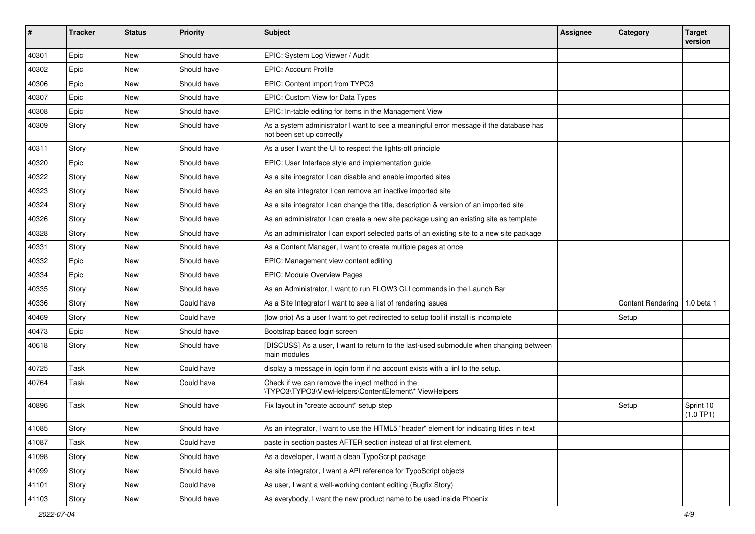| ∦     | <b>Tracker</b> | <b>Status</b> | <b>Priority</b> | Subject                                                                                                             | <b>Assignee</b> | Category                 | <b>Target</b><br>version |
|-------|----------------|---------------|-----------------|---------------------------------------------------------------------------------------------------------------------|-----------------|--------------------------|--------------------------|
| 40301 | Epic           | <b>New</b>    | Should have     | EPIC: System Log Viewer / Audit                                                                                     |                 |                          |                          |
| 40302 | Epic           | New           | Should have     | <b>EPIC: Account Profile</b>                                                                                        |                 |                          |                          |
| 40306 | Epic           | New           | Should have     | EPIC: Content import from TYPO3                                                                                     |                 |                          |                          |
| 40307 | Epic           | New           | Should have     | EPIC: Custom View for Data Types                                                                                    |                 |                          |                          |
| 40308 | Epic           | New           | Should have     | EPIC: In-table editing for items in the Management View                                                             |                 |                          |                          |
| 40309 | Story          | <b>New</b>    | Should have     | As a system administrator I want to see a meaningful error message if the database has<br>not been set up correctly |                 |                          |                          |
| 40311 | Story          | New           | Should have     | As a user I want the UI to respect the lights-off principle                                                         |                 |                          |                          |
| 40320 | Epic           | <b>New</b>    | Should have     | EPIC: User Interface style and implementation guide                                                                 |                 |                          |                          |
| 40322 | Story          | New           | Should have     | As a site integrator I can disable and enable imported sites                                                        |                 |                          |                          |
| 40323 | Story          | New           | Should have     | As an site integrator I can remove an inactive imported site                                                        |                 |                          |                          |
| 40324 | Story          | New           | Should have     | As a site integrator I can change the title, description & version of an imported site                              |                 |                          |                          |
| 40326 | Story          | <b>New</b>    | Should have     | As an administrator I can create a new site package using an existing site as template                              |                 |                          |                          |
| 40328 | Story          | <b>New</b>    | Should have     | As an administrator I can export selected parts of an existing site to a new site package                           |                 |                          |                          |
| 40331 | Story          | New           | Should have     | As a Content Manager, I want to create multiple pages at once                                                       |                 |                          |                          |
| 40332 | Epic           | New           | Should have     | EPIC: Management view content editing                                                                               |                 |                          |                          |
| 40334 | Epic           | <b>New</b>    | Should have     | EPIC: Module Overview Pages                                                                                         |                 |                          |                          |
| 40335 | Story          | New           | Should have     | As an Administrator, I want to run FLOW3 CLI commands in the Launch Bar                                             |                 |                          |                          |
| 40336 | Story          | <b>New</b>    | Could have      | As a Site Integrator I want to see a list of rendering issues                                                       |                 | <b>Content Rendering</b> | 1.0 beta 1               |
| 40469 | Story          | New           | Could have      | (low prio) As a user I want to get redirected to setup tool if install is incomplete                                |                 | Setup                    |                          |
| 40473 | Epic           | New           | Should have     | Bootstrap based login screen                                                                                        |                 |                          |                          |
| 40618 | Story          | New           | Should have     | [DISCUSS] As a user, I want to return to the last-used submodule when changing between<br>main modules              |                 |                          |                          |
| 40725 | Task           | <b>New</b>    | Could have      | display a message in login form if no account exists with a linl to the setup.                                      |                 |                          |                          |
| 40764 | Task           | New           | Could have      | Check if we can remove the inject method in the<br>\TYPO3\TYPO3\ViewHelpers\ContentElement\* ViewHelpers            |                 |                          |                          |
| 40896 | Task           | <b>New</b>    | Should have     | Fix layout in "create account" setup step                                                                           |                 | Setup                    | Sprint 10<br>(1.0 TP1)   |
| 41085 | Story          | New           | Should have     | As an integrator, I want to use the HTML5 "header" element for indicating titles in text                            |                 |                          |                          |
| 41087 | Task           | New           | Could have      | paste in section pastes AFTER section instead of at first element.                                                  |                 |                          |                          |
| 41098 | Story          | New           | Should have     | As a developer, I want a clean TypoScript package                                                                   |                 |                          |                          |
| 41099 | Story          | New           | Should have     | As site integrator, I want a API reference for TypoScript objects                                                   |                 |                          |                          |
| 41101 | Story          | New           | Could have      | As user, I want a well-working content editing (Bugfix Story)                                                       |                 |                          |                          |
| 41103 | Story          | New           | Should have     | As everybody, I want the new product name to be used inside Phoenix                                                 |                 |                          |                          |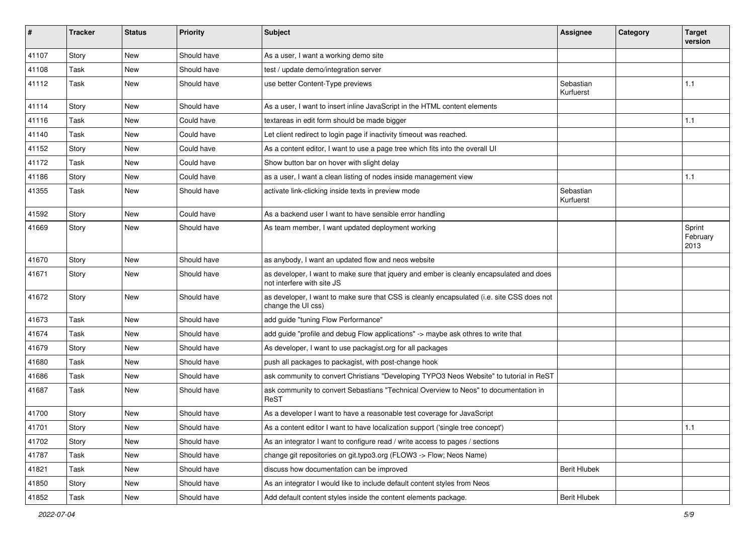| #     | <b>Tracker</b> | <b>Status</b> | <b>Priority</b> | <b>Subject</b>                                                                                                         | <b>Assignee</b>        | Category | <b>Target</b><br>version   |
|-------|----------------|---------------|-----------------|------------------------------------------------------------------------------------------------------------------------|------------------------|----------|----------------------------|
| 41107 | Story          | <b>New</b>    | Should have     | As a user, I want a working demo site                                                                                  |                        |          |                            |
| 41108 | Task           | New           | Should have     | test / update demo/integration server                                                                                  |                        |          |                            |
| 41112 | Task           | <b>New</b>    | Should have     | use better Content-Type previews                                                                                       | Sebastian<br>Kurfuerst |          | 1.1                        |
| 41114 | Story          | New           | Should have     | As a user, I want to insert inline JavaScript in the HTML content elements                                             |                        |          |                            |
| 41116 | Task           | New           | Could have      | textareas in edit form should be made bigger                                                                           |                        |          | 1.1                        |
| 41140 | Task           | New           | Could have      | Let client redirect to login page if inactivity timeout was reached.                                                   |                        |          |                            |
| 41152 | Story          | New           | Could have      | As a content editor, I want to use a page tree which fits into the overall UI                                          |                        |          |                            |
| 41172 | Task           | <b>New</b>    | Could have      | Show button bar on hover with slight delay                                                                             |                        |          |                            |
| 41186 | Story          | New           | Could have      | as a user, I want a clean listing of nodes inside management view                                                      |                        |          | 1.1                        |
| 41355 | Task           | <b>New</b>    | Should have     | activate link-clicking inside texts in preview mode                                                                    | Sebastian<br>Kurfuerst |          |                            |
| 41592 | Story          | New           | Could have      | As a backend user I want to have sensible error handling                                                               |                        |          |                            |
| 41669 | Story          | <b>New</b>    | Should have     | As team member, I want updated deployment working                                                                      |                        |          | Sprint<br>February<br>2013 |
| 41670 | Story          | <b>New</b>    | Should have     | as anybody, I want an updated flow and neos website                                                                    |                        |          |                            |
| 41671 | Story          | New           | Should have     | as developer, I want to make sure that jquery and ember is cleanly encapsulated and does<br>not interfere with site JS |                        |          |                            |
| 41672 | Story          | New           | Should have     | as developer, I want to make sure that CSS is cleanly encapsulated (i.e. site CSS does not<br>change the UI css)       |                        |          |                            |
| 41673 | Task           | <b>New</b>    | Should have     | add guide "tuning Flow Performance"                                                                                    |                        |          |                            |
| 41674 | Task           | <b>New</b>    | Should have     | add guide "profile and debug Flow applications" -> maybe ask othres to write that                                      |                        |          |                            |
| 41679 | Story          | <b>New</b>    | Should have     | As developer, I want to use packagist.org for all packages                                                             |                        |          |                            |
| 41680 | Task           | New           | Should have     | push all packages to packagist, with post-change hook                                                                  |                        |          |                            |
| 41686 | Task           | New           | Should have     | ask community to convert Christians "Developing TYPO3 Neos Website" to tutorial in ReST                                |                        |          |                            |
| 41687 | Task           | New           | Should have     | ask community to convert Sebastians "Technical Overview to Neos" to documentation in<br>ReST                           |                        |          |                            |
| 41700 | Story          | New           | Should have     | As a developer I want to have a reasonable test coverage for JavaScript                                                |                        |          |                            |
| 41701 | Story          | New           | Should have     | As a content editor I want to have localization support ('single tree concept')                                        |                        |          | 1.1                        |
| 41702 | Story          | New           | Should have     | As an integrator I want to configure read / write access to pages / sections                                           |                        |          |                            |
| 41787 | Task           | New           | Should have     | change git repositories on git.typo3.org (FLOW3 -> Flow; Neos Name)                                                    |                        |          |                            |
| 41821 | Task           | New           | Should have     | discuss how documentation can be improved                                                                              | <b>Berit Hlubek</b>    |          |                            |
| 41850 | Story          | New           | Should have     | As an integrator I would like to include default content styles from Neos                                              |                        |          |                            |
| 41852 | Task           | New           | Should have     | Add default content styles inside the content elements package.                                                        | <b>Berit Hlubek</b>    |          |                            |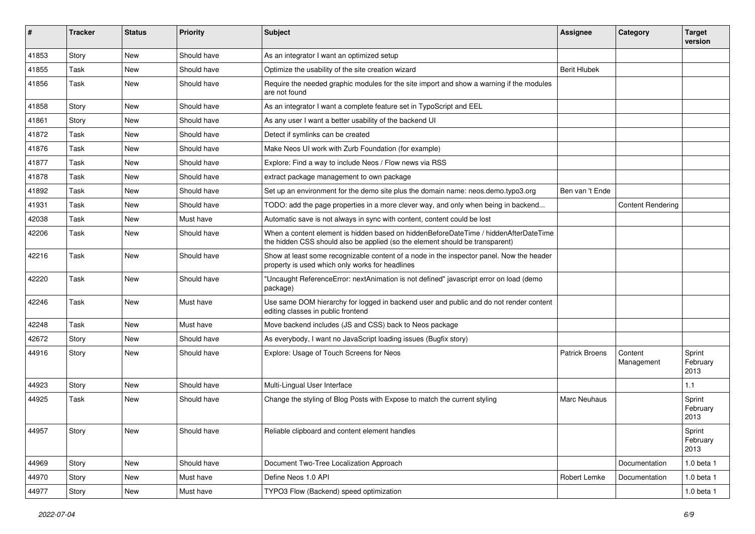| ∦     | <b>Tracker</b> | <b>Status</b> | <b>Priority</b> | Subject                                                                                                                                                              | <b>Assignee</b>       | Category                 | <b>Target</b><br>version   |
|-------|----------------|---------------|-----------------|----------------------------------------------------------------------------------------------------------------------------------------------------------------------|-----------------------|--------------------------|----------------------------|
| 41853 | Story          | <b>New</b>    | Should have     | As an integrator I want an optimized setup                                                                                                                           |                       |                          |                            |
| 41855 | Task           | New           | Should have     | Optimize the usability of the site creation wizard                                                                                                                   | <b>Berit Hlubek</b>   |                          |                            |
| 41856 | Task           | New           | Should have     | Require the needed graphic modules for the site import and show a warning if the modules<br>are not found                                                            |                       |                          |                            |
| 41858 | Story          | <b>New</b>    | Should have     | As an integrator I want a complete feature set in TypoScript and EEL                                                                                                 |                       |                          |                            |
| 41861 | Story          | <b>New</b>    | Should have     | As any user I want a better usability of the backend UI                                                                                                              |                       |                          |                            |
| 41872 | Task           | New           | Should have     | Detect if symlinks can be created                                                                                                                                    |                       |                          |                            |
| 41876 | Task           | New           | Should have     | Make Neos UI work with Zurb Foundation (for example)                                                                                                                 |                       |                          |                            |
| 41877 | Task           | <b>New</b>    | Should have     | Explore: Find a way to include Neos / Flow news via RSS                                                                                                              |                       |                          |                            |
| 41878 | Task           | New           | Should have     | extract package management to own package                                                                                                                            |                       |                          |                            |
| 41892 | Task           | <b>New</b>    | Should have     | Set up an environment for the demo site plus the domain name: neos.demo.typo3.org                                                                                    | Ben van 't Ende       |                          |                            |
| 41931 | Task           | New           | Should have     | TODO: add the page properties in a more clever way, and only when being in backend                                                                                   |                       | <b>Content Rendering</b> |                            |
| 42038 | Task           | <b>New</b>    | Must have       | Automatic save is not always in sync with content, content could be lost                                                                                             |                       |                          |                            |
| 42206 | Task           | <b>New</b>    | Should have     | When a content element is hidden based on hiddenBeforeDateTime / hiddenAfterDateTime<br>the hidden CSS should also be applied (so the element should be transparent) |                       |                          |                            |
| 42216 | Task           | <b>New</b>    | Should have     | Show at least some recognizable content of a node in the inspector panel. Now the header<br>property is used which only works for headlines                          |                       |                          |                            |
| 42220 | Task           | <b>New</b>    | Should have     | "Uncaught ReferenceError: nextAnimation is not defined" javascript error on load (demo<br>package)                                                                   |                       |                          |                            |
| 42246 | Task           | <b>New</b>    | Must have       | Use same DOM hierarchy for logged in backend user and public and do not render content<br>editing classes in public frontend                                         |                       |                          |                            |
| 42248 | Task           | <b>New</b>    | Must have       | Move backend includes (JS and CSS) back to Neos package                                                                                                              |                       |                          |                            |
| 42672 | Story          | New           | Should have     | As everybody, I want no JavaScript loading issues (Bugfix story)                                                                                                     |                       |                          |                            |
| 44916 | Story          | New           | Should have     | Explore: Usage of Touch Screens for Neos                                                                                                                             | <b>Patrick Broens</b> | Content<br>Management    | Sprint<br>February<br>2013 |
| 44923 | Story          | <b>New</b>    | Should have     | Multi-Lingual User Interface                                                                                                                                         |                       |                          | 1.1                        |
| 44925 | Task           | <b>New</b>    | Should have     | Change the styling of Blog Posts with Expose to match the current styling                                                                                            | <b>Marc Neuhaus</b>   |                          | Sprint<br>February<br>2013 |
| 44957 | Story          | New           | Should have     | Reliable clipboard and content element handles                                                                                                                       |                       |                          | Sprint<br>February<br>2013 |
| 44969 | Story          | New           | Should have     | Document Two-Tree Localization Approach                                                                                                                              |                       | Documentation            | 1.0 beta 1                 |
| 44970 | Story          | New           | Must have       | Define Neos 1.0 API                                                                                                                                                  | Robert Lemke          | Documentation            | 1.0 beta 1                 |
| 44977 | Story          | New           | Must have       | TYPO3 Flow (Backend) speed optimization                                                                                                                              |                       |                          | 1.0 beta 1                 |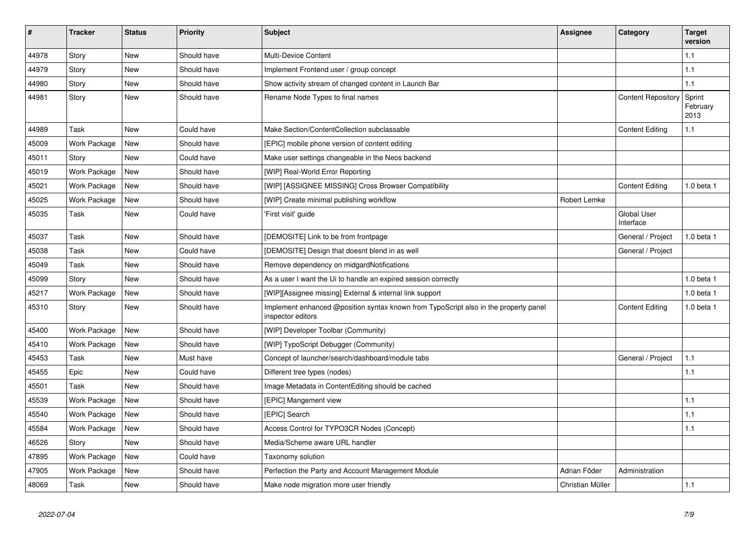| $\sharp$ | <b>Tracker</b> | <b>Status</b> | <b>Priority</b> | <b>Subject</b>                                                                                            | <b>Assignee</b>  | Category                        | <b>Target</b><br>version   |
|----------|----------------|---------------|-----------------|-----------------------------------------------------------------------------------------------------------|------------------|---------------------------------|----------------------------|
| 44978    | Story          | <b>New</b>    | Should have     | <b>Multi-Device Content</b>                                                                               |                  |                                 | 1.1                        |
| 44979    | Story          | New           | Should have     | Implement Frontend user / group concept                                                                   |                  |                                 | 1.1                        |
| 44980    | Story          | New           | Should have     | Show activity stream of changed content in Launch Bar                                                     |                  |                                 | 1.1                        |
| 44981    | Story          | <b>New</b>    | Should have     | Rename Node Types to final names                                                                          |                  | <b>Content Repository</b>       | Sprint<br>February<br>2013 |
| 44989    | Task           | <b>New</b>    | Could have      | Make Section/ContentCollection subclassable                                                               |                  | <b>Content Editing</b>          | 1.1                        |
| 45009    | Work Package   | New           | Should have     | [EPIC] mobile phone version of content editing                                                            |                  |                                 |                            |
| 45011    | Story          | New           | Could have      | Make user settings changeable in the Neos backend                                                         |                  |                                 |                            |
| 45019    | Work Package   | <b>New</b>    | Should have     | [WIP] Real-World Error Reporting                                                                          |                  |                                 |                            |
| 45021    | Work Package   | New           | Should have     | [WIP] [ASSIGNEE MISSING] Cross Browser Compatibility                                                      |                  | <b>Content Editing</b>          | $1.0$ beta $1$             |
| 45025    | Work Package   | New           | Should have     | [WIP] Create minimal publishing workflow                                                                  | Robert Lemke     |                                 |                            |
| 45035    | Task           | New           | Could have      | 'First visit' guide                                                                                       |                  | <b>Global User</b><br>Interface |                            |
| 45037    | Task           | New           | Should have     | [DEMOSITE] Link to be from frontpage                                                                      |                  | General / Project               | $1.0$ beta $1$             |
| 45038    | Task           | New           | Could have      | [DEMOSITE] Design that doesnt blend in as well                                                            |                  | General / Project               |                            |
| 45049    | Task           | <b>New</b>    | Should have     | Remove dependency on midgardNotifications                                                                 |                  |                                 |                            |
| 45099    | Story          | <b>New</b>    | Should have     | As a user I want the Ui to handle an expired session correctly                                            |                  |                                 | 1.0 beta 1                 |
| 45217    | Work Package   | New           | Should have     | [WIP][Assignee missing] External & internal link support                                                  |                  |                                 | 1.0 beta 1                 |
| 45310    | Story          | New           | Should have     | Implement enhanced @position syntax known from TypoScript also in the property panel<br>inspector editors |                  | <b>Content Editing</b>          | 1.0 beta 1                 |
| 45400    | Work Package   | New           | Should have     | [WIP] Developer Toolbar (Community)                                                                       |                  |                                 |                            |
| 45410    | Work Package   | New           | Should have     | [WIP] TypoScript Debugger (Community)                                                                     |                  |                                 |                            |
| 45453    | Task           | <b>New</b>    | Must have       | Concept of launcher/search/dashboard/module tabs                                                          |                  | General / Project               | 1.1                        |
| 45455    | Epic           | New           | Could have      | Different tree types (nodes)                                                                              |                  |                                 | 1.1                        |
| 45501    | Task           | <b>New</b>    | Should have     | Image Metadata in ContentEditing should be cached                                                         |                  |                                 |                            |
| 45539    | Work Package   | <b>New</b>    | Should have     | [EPIC] Mangement view                                                                                     |                  |                                 | 1.1                        |
| 45540    | Work Package   | <b>New</b>    | Should have     | [EPIC] Search                                                                                             |                  |                                 | 1.1                        |
| 45584    | Work Package   | <b>New</b>    | Should have     | Access Control for TYPO3CR Nodes (Concept)                                                                |                  |                                 | 1.1                        |
| 46526    | Story          | New           | Should have     | Media/Scheme aware URL handler                                                                            |                  |                                 |                            |
| 47895    | Work Package   | <b>New</b>    | Could have      | Taxonomy solution                                                                                         |                  |                                 |                            |
| 47905    | Work Package   | New           | Should have     | Perfection the Party and Account Management Module                                                        | Adrian Föder     | Administration                  |                            |
| 48069    | Task           | <b>New</b>    | Should have     | Make node migration more user friendly                                                                    | Christian Müller |                                 | 1.1                        |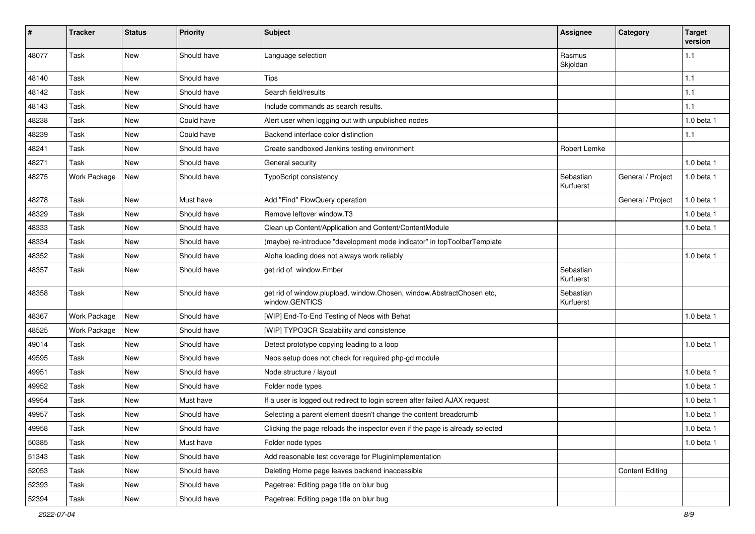| ∦     | <b>Tracker</b> | <b>Status</b> | <b>Priority</b> | <b>Subject</b>                                                                          | Assignee               | Category               | <b>Target</b><br>version |
|-------|----------------|---------------|-----------------|-----------------------------------------------------------------------------------------|------------------------|------------------------|--------------------------|
| 48077 | Task           | <b>New</b>    | Should have     | Language selection                                                                      | Rasmus<br>Skjoldan     |                        | 1.1                      |
| 48140 | Task           | New           | Should have     | <b>Tips</b>                                                                             |                        |                        | 1.1                      |
| 48142 | Task           | New           | Should have     | Search field/results                                                                    |                        |                        | 1.1                      |
| 48143 | Task           | New           | Should have     | Include commands as search results.                                                     |                        |                        | 1.1                      |
| 48238 | Task           | <b>New</b>    | Could have      | Alert user when logging out with unpublished nodes                                      |                        |                        | 1.0 beta 1               |
| 48239 | Task           | New           | Could have      | Backend interface color distinction                                                     |                        |                        | 1.1                      |
| 48241 | Task           | New           | Should have     | Create sandboxed Jenkins testing environment                                            | Robert Lemke           |                        |                          |
| 48271 | Task           | <b>New</b>    | Should have     | General security                                                                        |                        |                        | 1.0 beta 1               |
| 48275 | Work Package   | New           | Should have     | <b>TypoScript consistency</b>                                                           | Sebastian<br>Kurfuerst | General / Project      | 1.0 beta 1               |
| 48278 | Task           | New           | Must have       | Add "Find" FlowQuery operation                                                          |                        | General / Project      | 1.0 beta 1               |
| 48329 | Task           | New           | Should have     | Remove leftover window.T3                                                               |                        |                        | 1.0 beta 1               |
| 48333 | Task           | <b>New</b>    | Should have     | Clean up Content/Application and Content/ContentModule                                  |                        |                        | 1.0 beta 1               |
| 48334 | Task           | New           | Should have     | (maybe) re-introduce "development mode indicator" in topToolbarTemplate                 |                        |                        |                          |
| 48352 | Task           | New           | Should have     | Aloha loading does not always work reliably                                             |                        |                        | 1.0 beta 1               |
| 48357 | Task           | New           | Should have     | get rid of window.Ember                                                                 | Sebastian<br>Kurfuerst |                        |                          |
| 48358 | Task           | <b>New</b>    | Should have     | get rid of window.plupload, window.Chosen, window.AbstractChosen etc,<br>window.GENTICS | Sebastian<br>Kurfuerst |                        |                          |
| 48367 | Work Package   | New           | Should have     | [WIP] End-To-End Testing of Neos with Behat                                             |                        |                        | 1.0 beta 1               |
| 48525 | Work Package   | <b>New</b>    | Should have     | [WIP] TYPO3CR Scalability and consistence                                               |                        |                        |                          |
| 49014 | Task           | New           | Should have     | Detect prototype copying leading to a loop                                              |                        |                        | 1.0 beta 1               |
| 49595 | Task           | New           | Should have     | Neos setup does not check for required php-gd module                                    |                        |                        |                          |
| 49951 | Task           | New           | Should have     | Node structure / layout                                                                 |                        |                        | 1.0 beta 1               |
| 49952 | Task           | New           | Should have     | Folder node types                                                                       |                        |                        | 1.0 beta 1               |
| 49954 | Task           | <b>New</b>    | Must have       | If a user is logged out redirect to login screen after failed AJAX request              |                        |                        | 1.0 beta 1               |
| 49957 | Task           | New           | Should have     | Selecting a parent element doesn't change the content breadcrumb                        |                        |                        | 1.0 beta 1               |
| 49958 | Task           | New           | Should have     | Clicking the page reloads the inspector even if the page is already selected            |                        |                        | 1.0 beta 1               |
| 50385 | Task           | New           | Must have       | Folder node types                                                                       |                        |                        | 1.0 beta 1               |
| 51343 | Task           | New           | Should have     | Add reasonable test coverage for PluginImplementation                                   |                        |                        |                          |
| 52053 | Task           | New           | Should have     | Deleting Home page leaves backend inaccessible                                          |                        | <b>Content Editing</b> |                          |
| 52393 | Task           | New           | Should have     | Pagetree: Editing page title on blur bug                                                |                        |                        |                          |
| 52394 | Task           | New           | Should have     | Pagetree: Editing page title on blur bug                                                |                        |                        |                          |